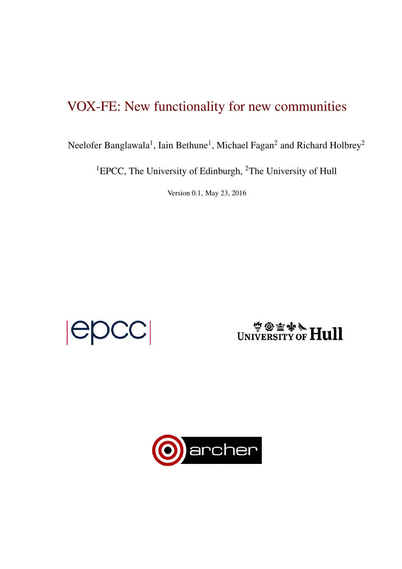# VOX-FE: New functionality for new communities

Neelofer Banglawala<sup>1</sup>, Iain Bethune<sup>1</sup>, Michael Fagan<sup>2</sup> and Richard Holbrey<sup>2</sup>

<sup>1</sup>EPCC, The University of Edinburgh, <sup>2</sup>The University of Hull

Version 0.1, May 23, 2016

 $|{\sf epCC}|$ 

# WINIVERSITY OF **Hull**

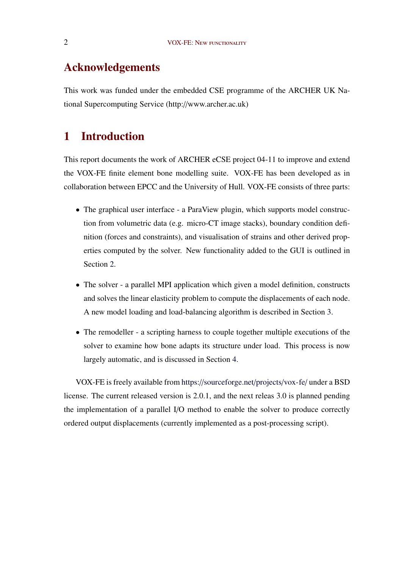# Acknowledgements

This work was funded under the embedded CSE programme of the ARCHER UK National Supercomputing Service (http://www.archer.ac.uk)

# 1 Introduction

This report documents the work of ARCHER eCSE project 04-11 to improve and extend the VOX-FE finite element bone modelling suite. VOX-FE has been developed as in collaboration between EPCC and the University of Hull. VOX-FE consists of three parts:

- The graphical user interface a ParaView plugin, which supports model construction from volumetric data (e.g. micro-CT image stacks), boundary condition definition (forces and constraints), and visualisation of strains and other derived properties computed by the solver. New functionality added to the GUI is outlined in Section<sub>2</sub>.
- The solver a parallel MPI application which given a model definition, constructs and solves the linear elasticity problem to compute the displacements of each node. A new model loading and load-balancing algorithm is described in Section [3.](#page--1-0)
- The remodeller a scripting harness to couple together multiple executions of the solver to examine how bone adapts its structure under load. This process is now largely automatic, and is discussed in Section [4.](#page--1-0)

VOX-FE is freely available from https://[sourceforge.net](https://sourceforge.net/projects/vox-fe/)/projects/vox-fe/ under a BSD license. The current released version is 2.0.1, and the next releas 3.0 is planned pending the implementation of a parallel I/O method to enable the solver to produce correctly ordered output displacements (currently implemented as a post-processing script).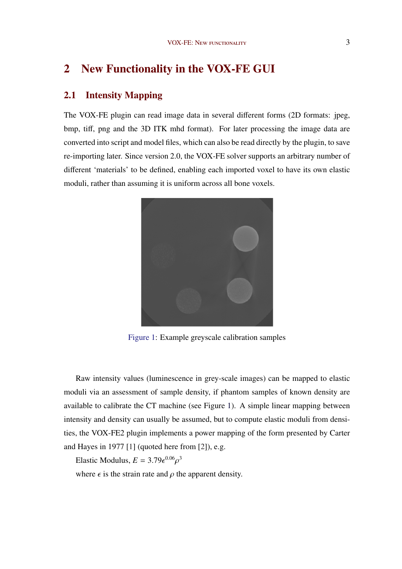# 2 New Functionality in the VOX-FE GUI

## 2.1 Intensity Mapping

The VOX-FE plugin can read image data in several different forms (2D formats: jpeg, bmp, tiff, png and the 3D ITK mhd format). For later processing the image data are converted into script and model files, which can also be read directly by the plugin, to save re-importing later. Since version 2.0, the VOX-FE solver supports an arbitrary number of different 'materials' to be defined, enabling each imported voxel to have its own elastic moduli, rather than assuming it is uniform across all bone voxels.



Figure 1: Example greyscale calibration samples

Raw intensity values (luminescence in grey-scale images) can be mapped to elastic moduli via an assessment of sample density, if phantom samples of known density are available to calibrate the CT machine (see Figure 1). A simple linear mapping between intensity and density can usually be assumed, but to compute elastic moduli from densities, the VOX-FE2 plugin implements a power mapping of the form presented by Carter and Hayes in 1977 [\[1\]](#page--1-0) (quoted here from [\[2\]](#page--1-0)), e.g.

Elastic Modulus,  $E = 3.79\epsilon^{0.06} \rho^3$ 

where  $\epsilon$  is the strain rate and  $\rho$  the apparent density.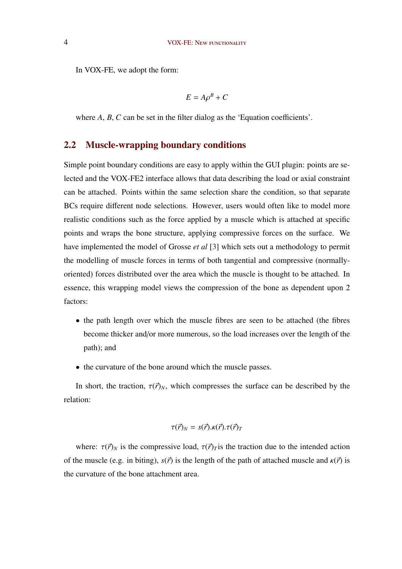In VOX-FE, we adopt the form:

$$
E = A\rho^B + C
$$

where  $A$ ,  $B$ ,  $C$  can be set in the filter dialog as the 'Equation coefficients'.

## 2.2 Muscle-wrapping boundary conditions

Simple point boundary conditions are easy to apply within the GUI plugin: points are selected and the VOX-FE2 interface allows that data describing the load or axial constraint can be attached. Points within the same selection share the condition, so that separate BCs require different node selections. However, users would often like to model more realistic conditions such as the force applied by a muscle which is attached at specific points and wraps the bone structure, applying compressive forces on the surface. We have implemented the model of Grosse *et al* [\[3\]](#page--1-0) which sets out a methodology to permit the modelling of muscle forces in terms of both tangential and compressive (normallyoriented) forces distributed over the area which the muscle is thought to be attached. In essence, this wrapping model views the compression of the bone as dependent upon 2 factors:

- the path length over which the muscle fibres are seen to be attached (the fibres become thicker and/or more numerous, so the load increases over the length of the path); and
- the curvature of the bone around which the muscle passes.

In short, the traction,  $\tau(\vec{r})_N$ , which compresses the surface can be described by the relation:

$$
\tau(\vec{r})_N = s(\vec{r}).\kappa(\vec{r}).\tau(\vec{r})_T
$$

where:  $\tau(\vec{r})_N$  is the compressive load,  $\tau(\vec{r})_T$  is the traction due to the intended action of the muscle (e.g. in biting),  $s(\vec{r})$  is the length of the path of attached muscle and  $\kappa(\vec{r})$  is the curvature of the bone attachment area.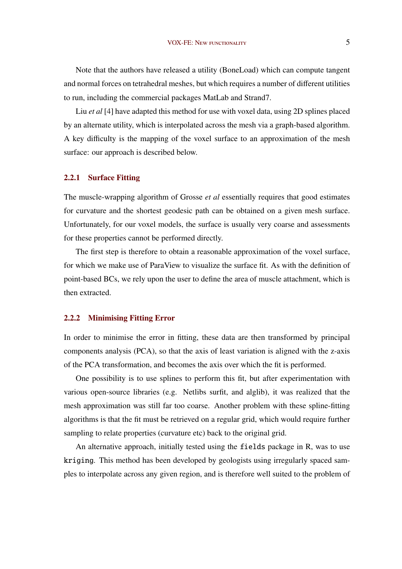Note that the authors have released a utility (BoneLoad) which can compute tangent and normal forces on tetrahedral meshes, but which requires a number of different utilities to run, including the commercial packages MatLab and Strand7.

Liu *et al* [\[4\]](#page--1-0) have adapted this method for use with voxel data, using 2D splines placed by an alternate utility, which is interpolated across the mesh via a graph-based algorithm. A key difficulty is the mapping of the voxel surface to an approximation of the mesh surface: our approach is described below.

#### 2.2.1 Surface Fitting

The muscle-wrapping algorithm of Grosse *et al* essentially requires that good estimates for curvature and the shortest geodesic path can be obtained on a given mesh surface. Unfortunately, for our voxel models, the surface is usually very coarse and assessments for these properties cannot be performed directly.

The first step is therefore to obtain a reasonable approximation of the voxel surface, for which we make use of ParaView to visualize the surface fit. As with the definition of point-based BCs, we rely upon the user to define the area of muscle attachment, which is then extracted.

#### 2.2.2 Minimising Fitting Error

In order to minimise the error in fitting, these data are then transformed by principal components analysis (PCA), so that the axis of least variation is aligned with the z-axis of the PCA transformation, and becomes the axis over which the fit is performed.

One possibility is to use splines to perform this fit, but after experimentation with various open-source libraries (e.g. Netlibs surfit, and alglib), it was realized that the mesh approximation was still far too coarse. Another problem with these spline-fitting algorithms is that the fit must be retrieved on a regular grid, which would require further sampling to relate properties (curvature etc) back to the original grid.

An alternative approach, initially tested using the fields package in R, was to use kriging. This method has been developed by geologists using irregularly spaced samples to interpolate across any given region, and is therefore well suited to the problem of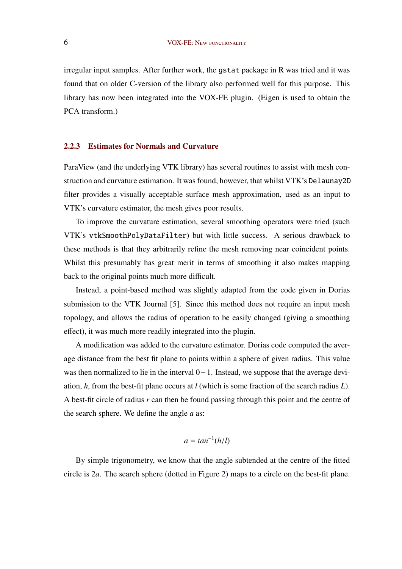irregular input samples. After further work, the gstat package in R was tried and it was found that on older C-version of the library also performed well for this purpose. This library has now been integrated into the VOX-FE plugin. (Eigen is used to obtain the PCA transform.)

#### 2.2.3 Estimates for Normals and Curvature

ParaView (and the underlying VTK library) has several routines to assist with mesh construction and curvature estimation. It was found, however, that whilst VTK's Delaunay2D filter provides a visually acceptable surface mesh approximation, used as an input to VTK's curvature estimator, the mesh gives poor results.

To improve the curvature estimation, several smoothing operators were tried (such VTK's vtkSmoothPolyDataFilter) but with little success. A serious drawback to these methods is that they arbitrarily refine the mesh removing near coincident points. Whilst this presumably has great merit in terms of smoothing it also makes mapping back to the original points much more difficult.

Instead, a point-based method was slightly adapted from the code given in Dorias submission to the VTK Journal [\[5\]](#page--1-0). Since this method does not require an input mesh topology, and allows the radius of operation to be easily changed (giving a smoothing effect), it was much more readily integrated into the plugin.

A modification was added to the curvature estimator. Dorias code computed the average distance from the best fit plane to points within a sphere of given radius. This value was then normalized to lie in the interval  $0-1$ . Instead, we suppose that the average deviation, *h*, from the best-fit plane occurs at *l* (which is some fraction of the search radius *L*). A best-fit circle of radius *r* can then be found passing through this point and the centre of the search sphere. We define the angle *a* as:

$$
a = \tan^{-1}(h/l)
$$

By simple trigonometry, we know that the angle subtended at the centre of the fitted circle is 2*a*. The search sphere (dotted in Figure [2\)](#page--1-0) maps to a circle on the best-fit plane.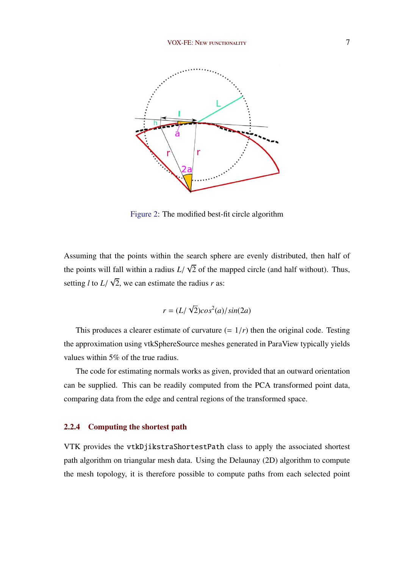

Figure 2: The modified best-fit circle algorithm

Assuming that the points within the search sphere are evenly distributed, then half of the points will fall within a radius  $L/\sqrt{2}$  of the mapped circle (and half without). Thus, setting *l* to  $L/\sqrt{2}$ , we can estimate the radius *r* as:

$$
r = (L/\sqrt{2})\cos^2(a)/\sin(2a)
$$

This produces a clearer estimate of curvature  $(= 1/r)$  then the original code. Testing the approximation using vtkSphereSource meshes generated in ParaView typically yields values within 5% of the true radius.

The code for estimating normals works as given, provided that an outward orientation can be supplied. This can be readily computed from the PCA transformed point data, comparing data from the edge and central regions of the transformed space.

#### 2.2.4 Computing the shortest path

VTK provides the vtkDjikstraShortestPath class to apply the associated shortest path algorithm on triangular mesh data. Using the Delaunay (2D) algorithm to compute the mesh topology, it is therefore possible to compute paths from each selected point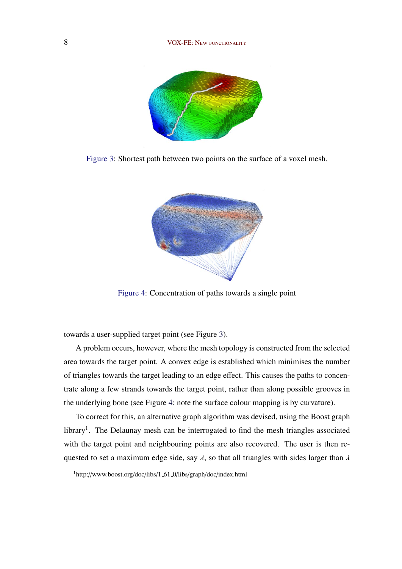#### 8 VOX-FE: New FUNCTIONALITY



Figure 3: Shortest path between two points on the surface of a voxel mesh.



Figure 4: Concentration of paths towards a single point

towards a user-supplied target point (see Figure 3).

A problem occurs, however, where the mesh topology is constructed from the selected area towards the target point. A convex edge is established which minimises the number of triangles towards the target leading to an edge effect. This causes the paths to concentrate along a few strands towards the target point, rather than along possible grooves in the underlying bone (see Figure 4; note the surface colour mapping is by curvature).

To correct for this, an alternative graph algorithm was devised, using the Boost graph library<sup>1</sup>. The Delaunay mesh can be interrogated to find the mesh triangles associated with the target point and neighbouring points are also recovered. The user is then requested to set a maximum edge side, say  $\lambda$ , so that all triangles with sides larger than  $\lambda$ 

<sup>&</sup>lt;sup>1</sup>http://www.boost.org/doc/libs/1\_61\_0/libs/graph/doc/index.html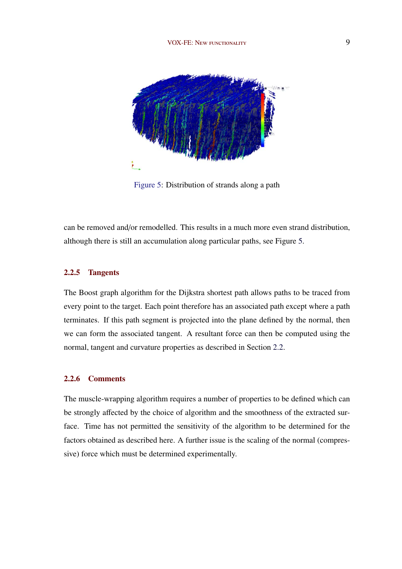

Figure 5: Distribution of strands along a path

can be removed and/or remodelled. This results in a much more even strand distribution, although there is still an accumulation along particular paths, see Figure 5.

#### 2.2.5 Tangents

The Boost graph algorithm for the Dijkstra shortest path allows paths to be traced from every point to the target. Each point therefore has an associated path except where a path terminates. If this path segment is projected into the plane defined by the normal, then we can form the associated tangent. A resultant force can then be computed using the normal, tangent and curvature properties as described in Section [2.2.](#page--1-0)

#### 2.2.6 Comments

The muscle-wrapping algorithm requires a number of properties to be defined which can be strongly affected by the choice of algorithm and the smoothness of the extracted surface. Time has not permitted the sensitivity of the algorithm to be determined for the factors obtained as described here. A further issue is the scaling of the normal (compressive) force which must be determined experimentally.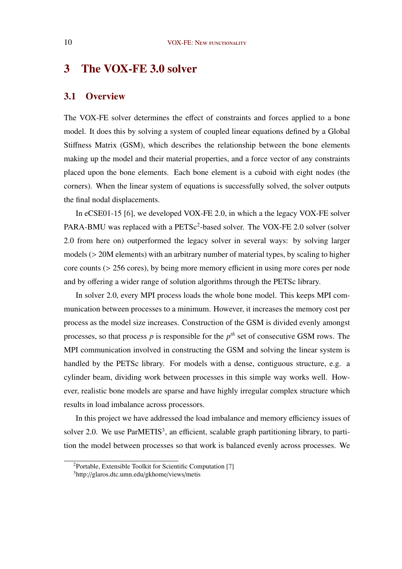# 3 The VOX-FE 3.0 solver

## 3.1 Overview

The VOX-FE solver determines the effect of constraints and forces applied to a bone model. It does this by solving a system of coupled linear equations defined by a Global Stiffness Matrix (GSM), which describes the relationship between the bone elements making up the model and their material properties, and a force vector of any constraints placed upon the bone elements. Each bone element is a cuboid with eight nodes (the corners). When the linear system of equations is successfully solved, the solver outputs the final nodal displacements.

In eCSE01-15 [\[6\]](#page--1-0), we developed VOX-FE 2.0, in which a the legacy VOX-FE solver PARA-BMU was replaced with a PETSc<sup>2</sup>-based solver. The VOX-FE 2.0 solver (solver 2.0 from here on) outperformed the legacy solver in several ways: by solving larger models (> 20M elements) with an arbitrary number of material types, by scaling to higher  $\alpha$  core counts ( $> 256$  cores), by being more memory efficient in using more cores per node and by offering a wider range of solution algorithms through the PETSc library.

In solver 2.0, every MPI process loads the whole bone model. This keeps MPI communication between processes to a minimum. However, it increases the memory cost per process as the model size increases. Construction of the GSM is divided evenly amongst processes, so that process  $p$  is responsible for the  $p<sup>th</sup>$  set of consecutive GSM rows. The MPI communication involved in constructing the GSM and solving the linear system is handled by the PETSc library. For models with a dense, contiguous structure, e.g. a cylinder beam, dividing work between processes in this simple way works well. However, realistic bone models are sparse and have highly irregular complex structure which results in load imbalance across processors.

In this project we have addressed the load imbalance and memory efficiency issues of solver 2.0. We use  $ParMETIS<sup>3</sup>$ , an efficient, scalable graph partitioning library, to partition the model between processes so that work is balanced evenly across processes. We

<sup>2</sup>Portable, Extensible Toolkit for Scientific Computation [\[7\]](#page--1-0)

<sup>3</sup>http://glaros.dtc.umn.edu/gkhome/views/metis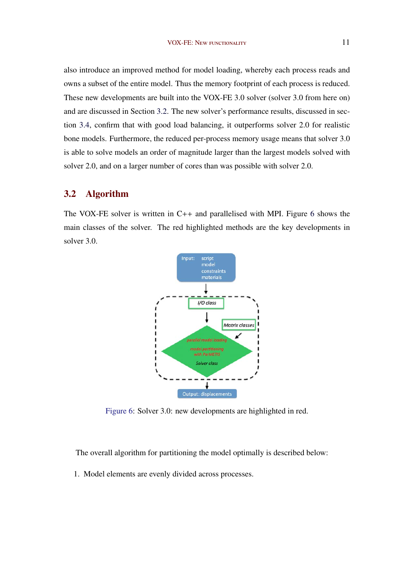also introduce an improved method for model loading, whereby each process reads and owns a subset of the entire model. Thus the memory footprint of each process is reduced. These new developments are built into the VOX-FE 3.0 solver (solver 3.0 from here on) and are discussed in Section 3.2. The new solver's performance results, discussed in section [3.4,](#page--1-0) confirm that with good load balancing, it outperforms solver 2.0 for realistic bone models. Furthermore, the reduced per-process memory usage means that solver 3.0 is able to solve models an order of magnitude larger than the largest models solved with solver 2.0, and on a larger number of cores than was possible with solver 2.0.

# 3.2 Algorithm

The VOX-FE solver is written in C++ and parallelised with MPI. Figure 6 shows the main classes of the solver. The red highlighted methods are the key developments in solver 3.0.



Figure 6: Solver 3.0: new developments are highlighted in red.

The overall algorithm for partitioning the model optimally is described below:

1. Model elements are evenly divided across processes.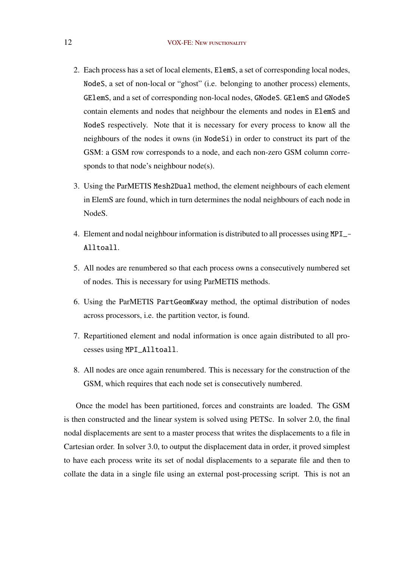- 2. Each process has a set of local elements, ElemS, a set of corresponding local nodes, NodeS, a set of non-local or "ghost" (i.e. belonging to another process) elements, GElemS, and a set of corresponding non-local nodes, GNodeS. GElemS and GNodeS contain elements and nodes that neighbour the elements and nodes in ElemS and NodeS respectively. Note that it is necessary for every process to know all the neighbours of the nodes it owns (in NodeSi) in order to construct its part of the GSM: a GSM row corresponds to a node, and each non-zero GSM column corresponds to that node's neighbour node(s).
- 3. Using the ParMETIS Mesh2Dual method, the element neighbours of each element in ElemS are found, which in turn determines the nodal neighbours of each node in NodeS.
- 4. Element and nodal neighbour information is distributed to all processes using MPI\_- Alltoall.
- 5. All nodes are renumbered so that each process owns a consecutively numbered set of nodes. This is necessary for using ParMETIS methods.
- 6. Using the ParMETIS PartGeomKway method, the optimal distribution of nodes across processors, i.e. the partition vector, is found.
- 7. Repartitioned element and nodal information is once again distributed to all processes using MPI\_Alltoall.
- 8. All nodes are once again renumbered. This is necessary for the construction of the GSM, which requires that each node set is consecutively numbered.

Once the model has been partitioned, forces and constraints are loaded. The GSM is then constructed and the linear system is solved using PETSc. In solver 2.0, the final nodal displacements are sent to a master process that writes the displacements to a file in Cartesian order. In solver 3.0, to output the displacement data in order, it proved simplest to have each process write its set of nodal displacements to a separate file and then to collate the data in a single file using an external post-processing script. This is not an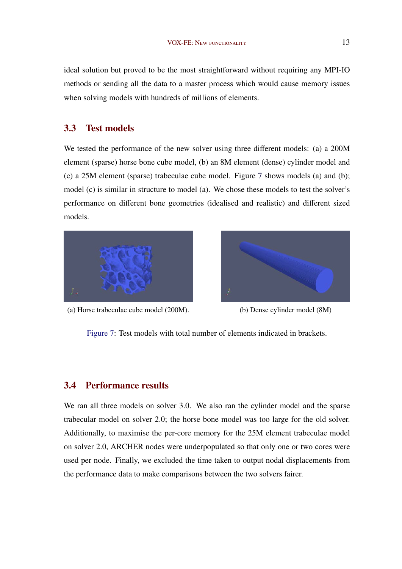ideal solution but proved to be the most straightforward without requiring any MPI-IO methods or sending all the data to a master process which would cause memory issues when solving models with hundreds of millions of elements.

## 3.3 Test models

We tested the performance of the new solver using three different models: (a) a 200M element (sparse) horse bone cube model, (b) an 8M element (dense) cylinder model and (c) a 25M element (sparse) trabeculae cube model. Figure 7 shows models (a) and (b); model (c) is similar in structure to model (a). We chose these models to test the solver's performance on different bone geometries (idealised and realistic) and different sized models.



(a) Horse trabeculae cube model (200M). (b) Dense cylinder model (8M)



Figure 7: Test models with total number of elements indicated in brackets.

## 3.4 Performance results

We ran all three models on solver 3.0. We also ran the cylinder model and the sparse trabecular model on solver 2.0; the horse bone model was too large for the old solver. Additionally, to maximise the per-core memory for the 25M element trabeculae model on solver 2.0, ARCHER nodes were underpopulated so that only one or two cores were used per node. Finally, we excluded the time taken to output nodal displacements from the performance data to make comparisons between the two solvers fairer.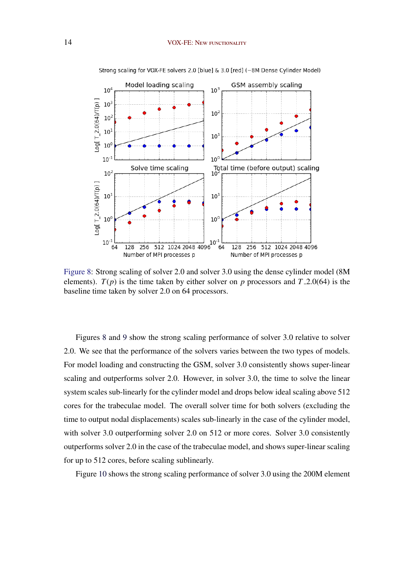

Strong scaling for VOX-FE solvers 2.0 [blue] & 3.0 [red] (~8M Dense Cylinder Model)

Figure 8: Strong scaling of solver 2.0 and solver 3.0 using the dense cylinder model (8M elements).  $T(p)$  is the time taken by either solver on *p* processors and  $T=2.0(64)$  is the baseline time taken by solver 2.0 on 64 processors.

Figures 8 and [9](#page--1-0) show the strong scaling performance of solver 3.0 relative to solver 2.0. We see that the performance of the solvers varies between the two types of models. For model loading and constructing the GSM, solver 3.0 consistently shows super-linear scaling and outperforms solver 2.0. However, in solver 3.0, the time to solve the linear system scales sub-linearly for the cylinder model and drops below ideal scaling above 512 cores for the trabeculae model. The overall solver time for both solvers (excluding the time to output nodal displacements) scales sub-linearly in the case of the cylinder model, with solver 3.0 outperforming solver 2.0 on 512 or more cores. Solver 3.0 consistently outperforms solver 2.0 in the case of the trabeculae model, and shows super-linear scaling for up to 512 cores, before scaling sublinearly.

Figure [10](#page--1-0) shows the strong scaling performance of solver 3.0 using the 200M element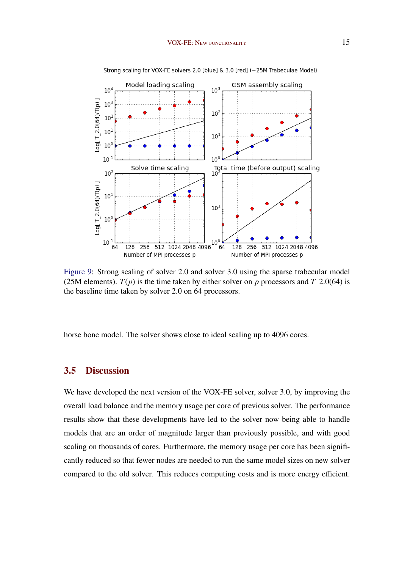

Strong scaling for VOX-FE solvers 2.0 [blue] & 3.0 [red] (~25M Trabeculae Model)

Figure 9: Strong scaling of solver 2.0 and solver 3.0 using the sparse trabecular model (25M elements).  $T(p)$  is the time taken by either solver on *p* processors and  $T=2.0(64)$  is the baseline time taken by solver 2.0 on 64 processors.

horse bone model. The solver shows close to ideal scaling up to 4096 cores.

## 3.5 Discussion

We have developed the next version of the VOX-FE solver, solver 3.0, by improving the overall load balance and the memory usage per core of previous solver. The performance results show that these developments have led to the solver now being able to handle models that are an order of magnitude larger than previously possible, and with good scaling on thousands of cores. Furthermore, the memory usage per core has been significantly reduced so that fewer nodes are needed to run the same model sizes on new solver compared to the old solver. This reduces computing costs and is more energy efficient.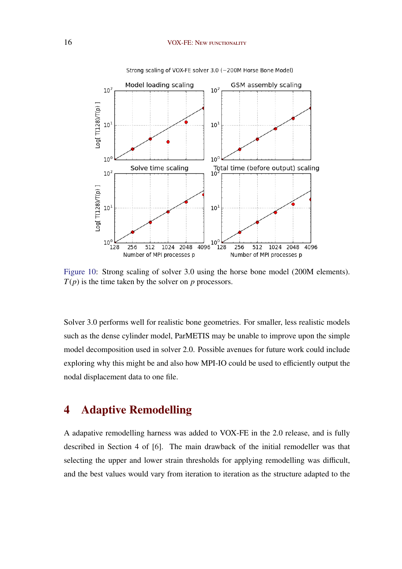

Strong scaling of VOX-FE solver 3.0 (~200M Horse Bone Model)

Figure 10: Strong scaling of solver 3.0 using the horse bone model (200M elements). *T*(*p*) is the time taken by the solver on *p* processors.

Solver 3.0 performs well for realistic bone geometries. For smaller, less realistic models such as the dense cylinder model, ParMETIS may be unable to improve upon the simple model decomposition used in solver 2.0. Possible avenues for future work could include exploring why this might be and also how MPI-IO could be used to efficiently output the nodal displacement data to one file.

# 4 Adaptive Remodelling

A adapative remodelling harness was added to VOX-FE in the 2.0 release, and is fully described in Section 4 of [\[6\]](#page--1-0). The main drawback of the initial remodeller was that selecting the upper and lower strain thresholds for applying remodelling was difficult, and the best values would vary from iteration to iteration as the structure adapted to the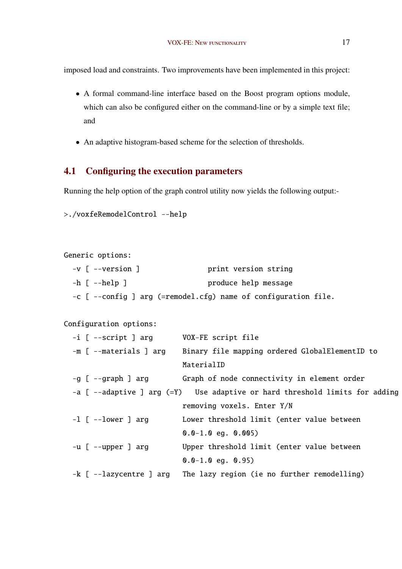imposed load and constraints. Two improvements have been implemented in this project:

- A formal command-line interface based on the Boost program options module, which can also be configured either on the command-line or by a simple text file; and
- An adaptive histogram-based scheme for the selection of thresholds.

# 4.1 Configuring the execution parameters

Running the help option of the graph control utility now yields the following output:-

```
>./voxfeRemodelControl --help
```

```
Generic options:
-v [ --version ] print version string
-h [ --help ] produce help message
-c [ --config ] arg (=remodel.cfg) name of configuration file.
```

```
Configuration options:
```

| -i [ --script ] arg     | VOX-FE script file                                                          |
|-------------------------|-----------------------------------------------------------------------------|
| -m [ --materials ] arg  | Binary file mapping ordered GlobalElementID to                              |
|                         | MaterialID                                                                  |
| -g [ --graph ] arg      | Graph of node connectivity in element order                                 |
|                         | -a [ --adaptive ] arg (=Y) Use adaptive or hard threshold limits for adding |
|                         | removing voxels. Enter Y/N                                                  |
| $-1$ [ $-$ -lower ] arg | Lower threshold limit (enter value between                                  |
|                         | $0.0-1.0$ eg. $0.005$                                                       |
| $-u$ $[--upper]$ arg    | Upper threshold limit (enter value between                                  |
|                         | $0.0-1.0$ eg. $0.95$                                                        |
|                         | -k [ --lazycentre ] arg The lazy region (ie no further remodelling)         |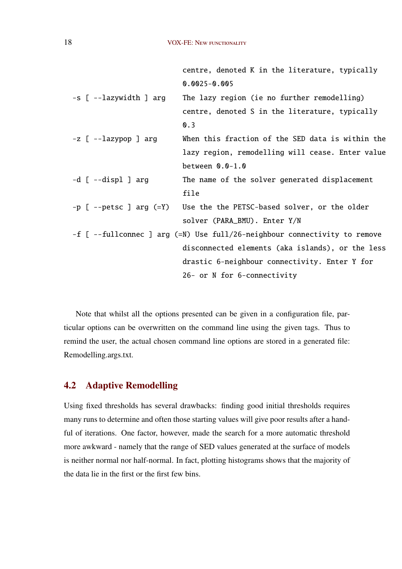|                                   | centre, denoted K in the literature, typically                            |
|-----------------------------------|---------------------------------------------------------------------------|
|                                   | $0.0025 - 0.005$                                                          |
| -s [ --lazywidth ] arg            | The lazy region (ie no further remodelling)                               |
|                                   | centre, denoted S in the literature, typically                            |
|                                   | $\mathbf{0.3}$                                                            |
| $-z$ [ $-$ lazypop ] arg          | When this fraction of the SED data is within the                          |
|                                   | lazy region, remodelling will cease. Enter value                          |
|                                   | between $0.0-1.0$                                                         |
| -d [ --displ ] arg                | The name of the solver generated displacement                             |
|                                   | file                                                                      |
| -p $[$ --petsc $]$ arg $($ =Y $)$ | Use the the PETSC-based solver, or the older                              |
|                                   | solver (PARA_BMU). Enter Y/N                                              |
|                                   | -f [ --fullconnec ] arg (=N) Use full/26-neighbour connectivity to remove |
|                                   | disconnected elements (aka islands), or the less                          |
|                                   | drastic 6-neighbour connectivity. Enter Y for                             |
|                                   | 26- or N for 6-connectivity                                               |
|                                   |                                                                           |

Note that whilst all the options presented can be given in a configuration file, particular options can be overwritten on the command line using the given tags. Thus to remind the user, the actual chosen command line options are stored in a generated file: Remodelling.args.txt.

# 4.2 Adaptive Remodelling

Using fixed thresholds has several drawbacks: finding good initial thresholds requires many runs to determine and often those starting values will give poor results after a handful of iterations. One factor, however, made the search for a more automatic threshold more awkward - namely that the range of SED values generated at the surface of models is neither normal nor half-normal. In fact, plotting histograms shows that the majority of the data lie in the first or the first few bins.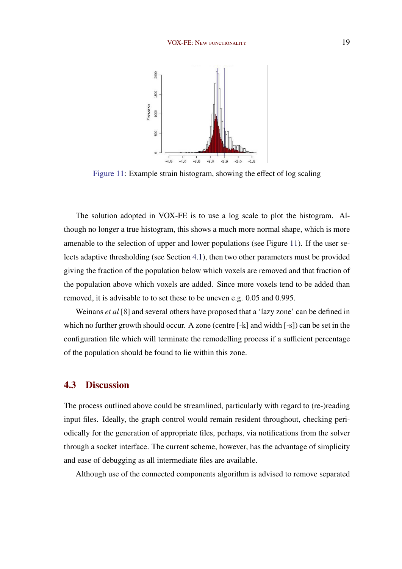

Figure 11: Example strain histogram, showing the effect of log scaling

The solution adopted in VOX-FE is to use a log scale to plot the histogram. Although no longer a true histogram, this shows a much more normal shape, which is more amenable to the selection of upper and lower populations (see Figure 11). If the user selects adaptive thresholding (see Section [4.1\)](#page--1-0), then two other parameters must be provided giving the fraction of the population below which voxels are removed and that fraction of the population above which voxels are added. Since more voxels tend to be added than removed, it is advisable to to set these to be uneven e.g. 0.05 and 0.995.

Weinans *et al* [\[8\]](#page--1-0) and several others have proposed that a 'lazy zone' can be defined in which no further growth should occur. A zone (centre [-k] and width [-s]) can be set in the configuration file which will terminate the remodelling process if a sufficient percentage of the population should be found to lie within this zone.

## 4.3 Discussion

The process outlined above could be streamlined, particularly with regard to (re-)reading input files. Ideally, the graph control would remain resident throughout, checking periodically for the generation of appropriate files, perhaps, via notifications from the solver through a socket interface. The current scheme, however, has the advantage of simplicity and ease of debugging as all intermediate files are available.

Although use of the connected components algorithm is advised to remove separated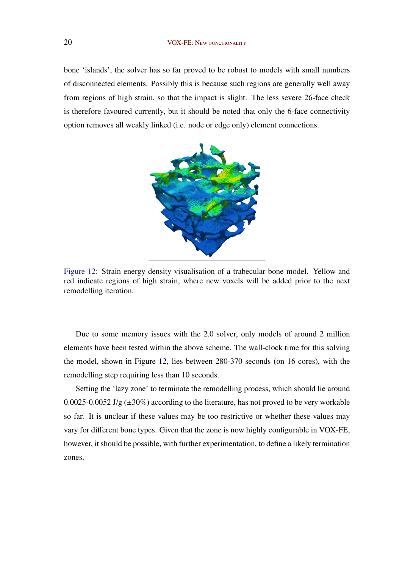bone 'islands', the solver has so far proved to be robust to models with small numbers of disconnected elements. Possibly this is because such regions are generally well away from regions of high strain, so that the impact is slight. The less severe 26-face check is therefore favoured currently, but it should be noted that only the 6-face connectivity option removes all weakly linked (i.e. node or edge only) element connections.



Figure 12: Strain energy density visualisation of a trabecular bone model. Yellow and red indicate regions of high strain, where new voxels will be added prior to the next remodelling iteration.

Due to some memory issues with the 2.0 solver, only models of around 2 million elements have been tested within the above scheme. The wall-clock time for this solving the model, shown in Figure 12, lies between 280-370 seconds (on 16 cores), with the remodelling step requiring less than 10 seconds.

Setting the 'lazy zone' to terminate the remodelling process, which should lie around 0.0025-0.0052 J/g  $(\pm 30\%)$  according to the literature, has not proved to be very workable so far. It is unclear if these values may be too restrictive or whether these values may vary for different bone types. Given that the zone is now highly configurable in VOX-FE, however, it should be possible, with further experimentation, to define a likely termination zones.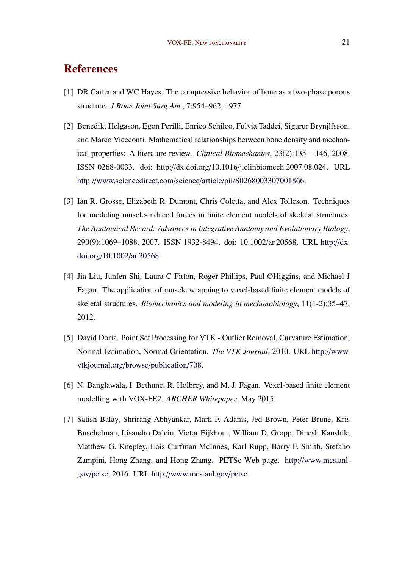# References

- [1] DR Carter and WC Hayes. The compressive behavior of bone as a two-phase porous structure. *J Bone Joint Surg Am.*, 7:954–962, 1977.
- [2] Benedikt Helgason, Egon Perilli, Enrico Schileo, Fulvia Taddei, Sigurur Brynjlfsson, and Marco Viceconti. Mathematical relationships between bone density and mechanical properties: A literature review. *Clinical Biomechanics*, 23(2):135 – 146, 2008. ISSN 0268-0033. doi: http://dx.doi.org/10.1016/j.clinbiomech.2007.08.024. URL http://[www.sciencedirect.com](http://www.sciencedirect.com/science/article/pii/S0268003307001866)/science/article/pii/S0268003307001866.
- [3] Ian R. Grosse, Elizabeth R. Dumont, Chris Coletta, and Alex Tolleson. Techniques for modeling muscle-induced forces in finite element models of skeletal structures. *The Anatomical Record: Advances in Integrative Anatomy and Evolutionary Biology*, 290(9):1069–1088, 2007. ISSN 1932-8494. doi: 10.1002/ar.20568. URL [http:](http://dx.doi.org/10.1002/ar.20568)//dx. doi.org/10.1002/[ar.20568.](http://dx.doi.org/10.1002/ar.20568)
- [4] Jia Liu, Junfen Shi, Laura C Fitton, Roger Phillips, Paul OHiggins, and Michael J Fagan. The application of muscle wrapping to voxel-based finite element models of skeletal structures. *Biomechanics and modeling in mechanobiology*, 11(1-2):35–47, 2012.
- [5] David Doria. Point Set Processing for VTK Outlier Removal, Curvature Estimation, Normal Estimation, Normal Orientation. *The VTK Journal*, 2010. URL http://[www.](http://www.vtkjournal.org/browse/publication/708) [vtkjournal.org](http://www.vtkjournal.org/browse/publication/708)/browse/publication/708.
- [6] N. Banglawala, I. Bethune, R. Holbrey, and M. J. Fagan. Voxel-based finite element modelling with VOX-FE2. *ARCHER Whitepaper*, May 2015.
- [7] Satish Balay, Shrirang Abhyankar, Mark F. Adams, Jed Brown, Peter Brune, Kris Buschelman, Lisandro Dalcin, Victor Eijkhout, William D. Gropp, Dinesh Kaushik, Matthew G. Knepley, Lois Curfman McInnes, Karl Rupp, Barry F. Smith, Stefano Zampini, Hong Zhang, and Hong Zhang. PETSc Web page. http://[www.mcs.anl.](http://www.mcs.anl.gov/petsc) gov/[petsc,](http://www.mcs.anl.gov/petsc) 2016. URL http://[www.mcs.anl.gov](http://www.mcs.anl.gov/petsc)/petsc.